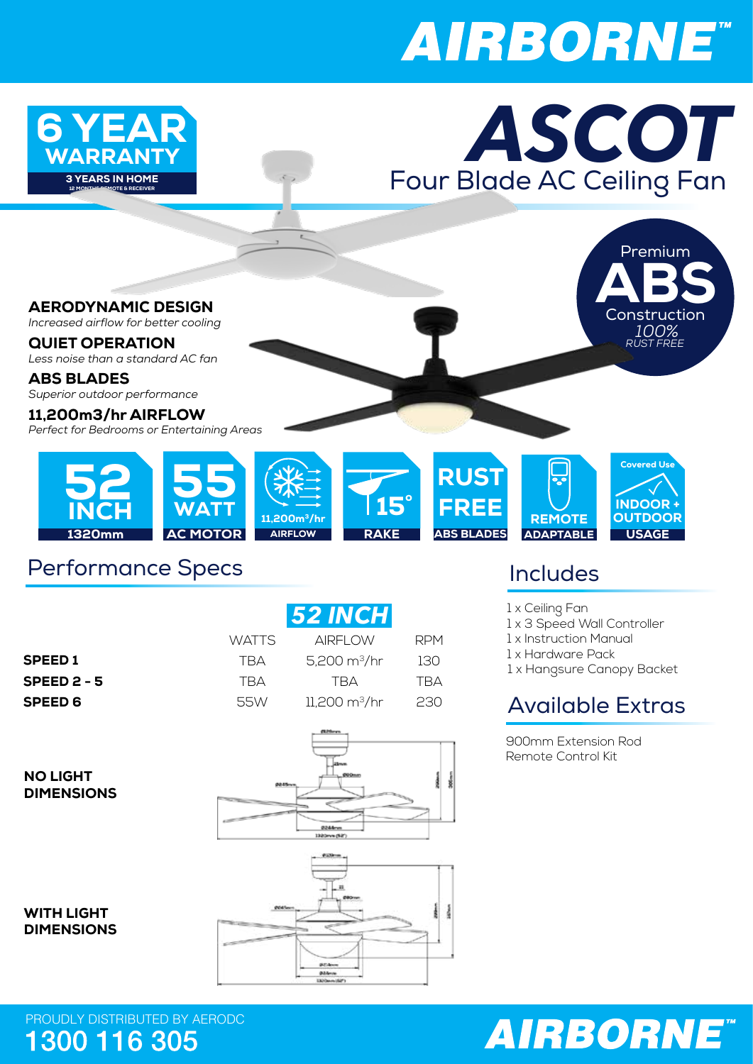# **AIRBORNE**



#### Performance Specs

|                | 52 INCH      |                                |            |
|----------------|--------------|--------------------------------|------------|
|                | <b>WATTS</b> | <b>AIRFLOW</b>                 | <b>RPM</b> |
| <b>SPEED1</b>  | TRA          | 5,200 $m^3/hr$                 | 130        |
| SPEED $2 - 5$  | <b>TRA</b>   | TRA                            | TRA        |
| <b>SPEED 6</b> | 55W          | $11,200 \text{ m}^3/\text{hr}$ | 230        |

NO LIGHT DIMENSIONS





PROUDLY DISTRIBUTED BY AERODC<br>1300 116 305

### Includes

RPM

ł

- 1 x Ceiling Fan
- 1 x 3 Speed Wall Controller
- 1 x Instruction Manual
- 1 x Hardware Pack
- 1 x Hangsure Canopy Backet

### Available Extras

900mm Extension Rod Remote Control Kit